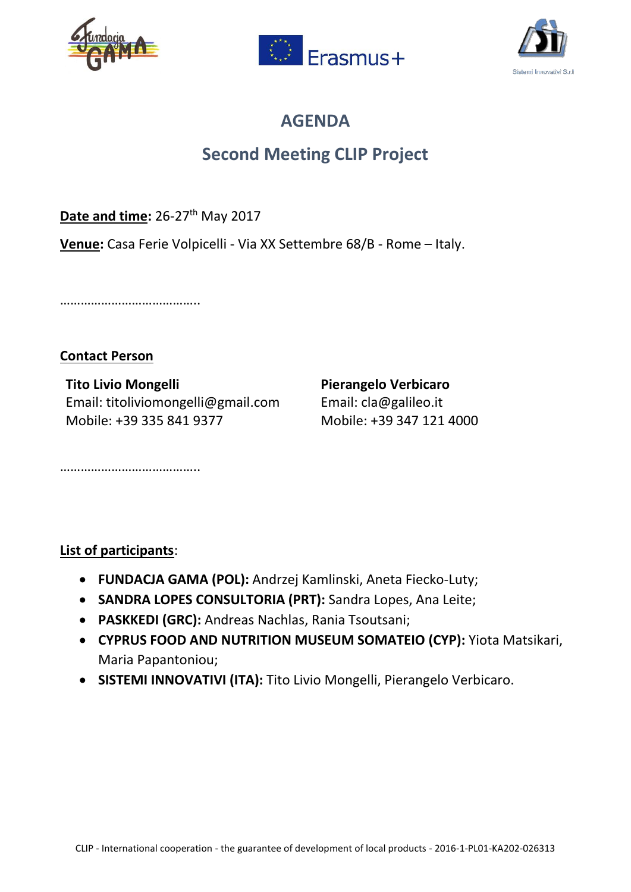





## **AGENDA**

## **Second Meeting CLIP Project**

Date and time: 26-27<sup>th</sup> May 2017

**Venue:** Casa Ferie Volpicelli - Via XX Settembre 68/B - Rome – Italy.

…………………………………………

## **Contact Person**

**Tito Livio Mongelli Pierangelo Verbicaro** Email: titoliviomongelli@gmail.com Email: cla@galileo.it Mobile: +39 335 841 9377 Mobile: +39 347 121 4000

**List of participants**:

………………………………………

- **FUNDACJA GAMA (POL):** Andrzej Kamlinski, Aneta Fiecko-Luty;
- **SANDRA LOPES CONSULTORIA (PRT):** Sandra Lopes, Ana Leite;
- **PASKKEDI (GRC):** Andreas Nachlas, Rania Tsoutsani;
- **CYPRUS FOOD AND NUTRITION MUSEUM SOMATEIO (CYP):** Yiota Matsikari, Maria Papantoniou;
- **SISTEMI INNOVATIVI (ITA):** Tito Livio Mongelli, Pierangelo Verbicaro.